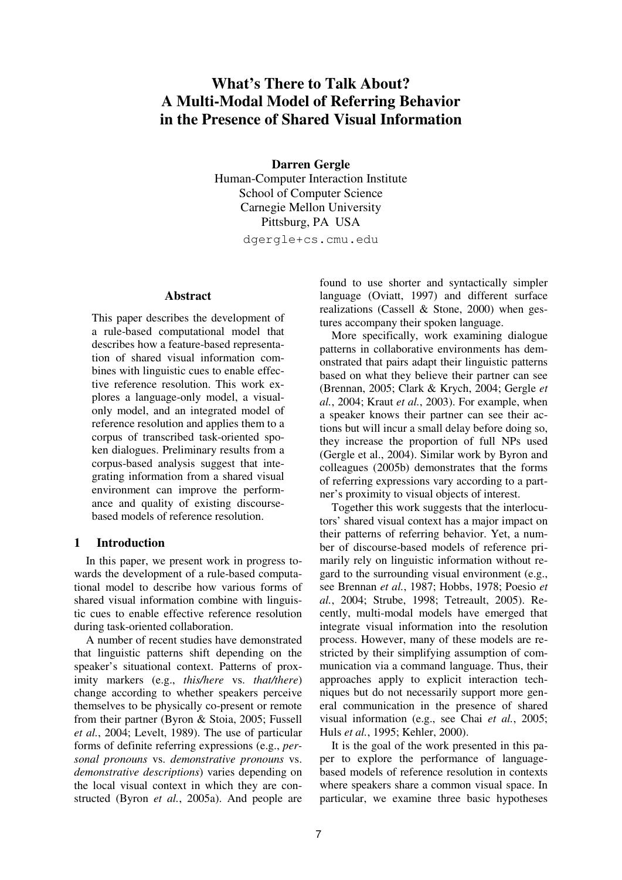# **What's There to Talk About? A Multi-Modal Model of Referring Behavior in the Presence of Shared Visual Information**

**Darren Gergle**  Human-Computer Interaction Institute School of Computer Science Carnegie Mellon University Pittsburg, PA USA

dgergle+cs.cmu.edu

#### **Abstract**

This paper describes the development of a rule-based computational model that describes how a feature-based representation of shared visual information combines with linguistic cues to enable effective reference resolution. This work explores a language-only model, a visualonly model, and an integrated model of reference resolution and applies them to a corpus of transcribed task-oriented spoken dialogues. Preliminary results from a corpus-based analysis suggest that integrating information from a shared visual environment can improve the performance and quality of existing discoursebased models of reference resolution.

### **1 Introduction**

In this paper, we present work in progress towards the development of a rule-based computational model to describe how various forms of shared visual information combine with linguistic cues to enable effective reference resolution during task-oriented collaboration.

A number of recent studies have demonstrated that linguistic patterns shift depending on the speaker's situational context. Patterns of proximity markers (e.g., *this/here* vs. *that/there*) change according to whether speakers perceive themselves to be physically co-present or remote from their partner (Byron & Stoia, 2005; Fussell *et al.*, 2004; Levelt, 1989). The use of particular forms of definite referring expressions (e.g., *personal pronouns* vs. *demonstrative pronouns* vs. *demonstrative descriptions*) varies depending on the local visual context in which they are constructed (Byron *et al.*, 2005a). And people are found to use shorter and syntactically simpler language (Oviatt, 1997) and different surface realizations (Cassell & Stone, 2000) when gestures accompany their spoken language.

More specifically, work examining dialogue patterns in collaborative environments has demonstrated that pairs adapt their linguistic patterns based on what they believe their partner can see (Brennan, 2005; Clark & Krych, 2004; Gergle *et al.*, 2004; Kraut *et al.*, 2003). For example, when a speaker knows their partner can see their actions but will incur a small delay before doing so, they increase the proportion of full NPs used (Gergle et al., 2004). Similar work by Byron and colleagues (2005b) demonstrates that the forms of referring expressions vary according to a partner's proximity to visual objects of interest.

Together this work suggests that the interlocutors' shared visual context has a major impact on their patterns of referring behavior. Yet, a number of discourse-based models of reference primarily rely on linguistic information without regard to the surrounding visual environment (e.g., see Brennan *et al.*, 1987; Hobbs, 1978; Poesio *et al.*, 2004; Strube, 1998; Tetreault, 2005). Recently, multi-modal models have emerged that integrate visual information into the resolution process. However, many of these models are restricted by their simplifying assumption of communication via a command language. Thus, their approaches apply to explicit interaction techniques but do not necessarily support more general communication in the presence of shared visual information (e.g., see Chai *et al.*, 2005; Huls *et al.*, 1995; Kehler, 2000).

It is the goal of the work presented in this paper to explore the performance of languagebased models of reference resolution in contexts where speakers share a common visual space. In particular, we examine three basic hypotheses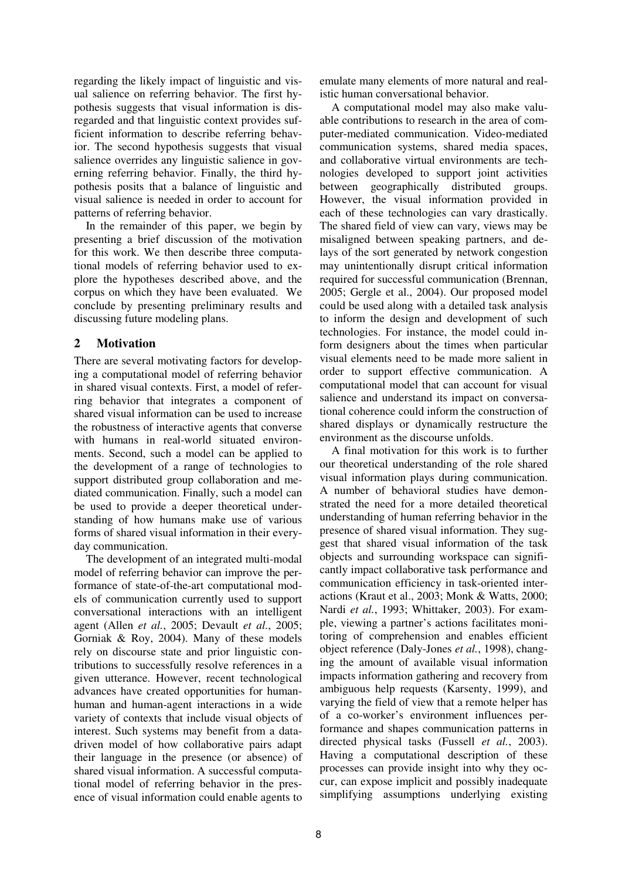regarding the likely impact of linguistic and visual salience on referring behavior. The first hypothesis suggests that visual information is disregarded and that linguistic context provides sufficient information to describe referring behavior. The second hypothesis suggests that visual salience overrides any linguistic salience in governing referring behavior. Finally, the third hypothesis posits that a balance of linguistic and visual salience is needed in order to account for patterns of referring behavior.

In the remainder of this paper, we begin by presenting a brief discussion of the motivation for this work. We then describe three computational models of referring behavior used to explore the hypotheses described above, and the corpus on which they have been evaluated. We conclude by presenting preliminary results and discussing future modeling plans.

# **2 Motivation**

There are several motivating factors for developing a computational model of referring behavior in shared visual contexts. First, a model of referring behavior that integrates a component of shared visual information can be used to increase the robustness of interactive agents that converse with humans in real-world situated environments. Second, such a model can be applied to the development of a range of technologies to support distributed group collaboration and mediated communication. Finally, such a model can be used to provide a deeper theoretical understanding of how humans make use of various forms of shared visual information in their everyday communication.

The development of an integrated multi-modal model of referring behavior can improve the performance of state-of-the-art computational models of communication currently used to support conversational interactions with an intelligent agent (Allen *et al.*, 2005; Devault *et al.*, 2005; Gorniak & Roy, 2004). Many of these models rely on discourse state and prior linguistic contributions to successfully resolve references in a given utterance. However, recent technological advances have created opportunities for humanhuman and human-agent interactions in a wide variety of contexts that include visual objects of interest. Such systems may benefit from a datadriven model of how collaborative pairs adapt their language in the presence (or absence) of shared visual information. A successful computational model of referring behavior in the presence of visual information could enable agents to emulate many elements of more natural and realistic human conversational behavior.

A computational model may also make valuable contributions to research in the area of computer-mediated communication. Video-mediated communication systems, shared media spaces, and collaborative virtual environments are technologies developed to support joint activities between geographically distributed groups. However, the visual information provided in each of these technologies can vary drastically. The shared field of view can vary, views may be misaligned between speaking partners, and delays of the sort generated by network congestion may unintentionally disrupt critical information required for successful communication (Brennan, 2005; Gergle et al., 2004). Our proposed model could be used along with a detailed task analysis to inform the design and development of such technologies. For instance, the model could inform designers about the times when particular visual elements need to be made more salient in order to support effective communication. A computational model that can account for visual salience and understand its impact on conversational coherence could inform the construction of shared displays or dynamically restructure the environment as the discourse unfolds.

A final motivation for this work is to further our theoretical understanding of the role shared visual information plays during communication. A number of behavioral studies have demonstrated the need for a more detailed theoretical understanding of human referring behavior in the presence of shared visual information. They suggest that shared visual information of the task objects and surrounding workspace can significantly impact collaborative task performance and communication efficiency in task-oriented interactions (Kraut et al., 2003; Monk & Watts, 2000; Nardi *et al.*, 1993; Whittaker, 2003). For example, viewing a partner's actions facilitates monitoring of comprehension and enables efficient object reference (Daly-Jones *et al.*, 1998), changing the amount of available visual information impacts information gathering and recovery from ambiguous help requests (Karsenty, 1999), and varying the field of view that a remote helper has of a co-worker's environment influences performance and shapes communication patterns in directed physical tasks (Fussell *et al.*, 2003). Having a computational description of these processes can provide insight into why they occur, can expose implicit and possibly inadequate simplifying assumptions underlying existing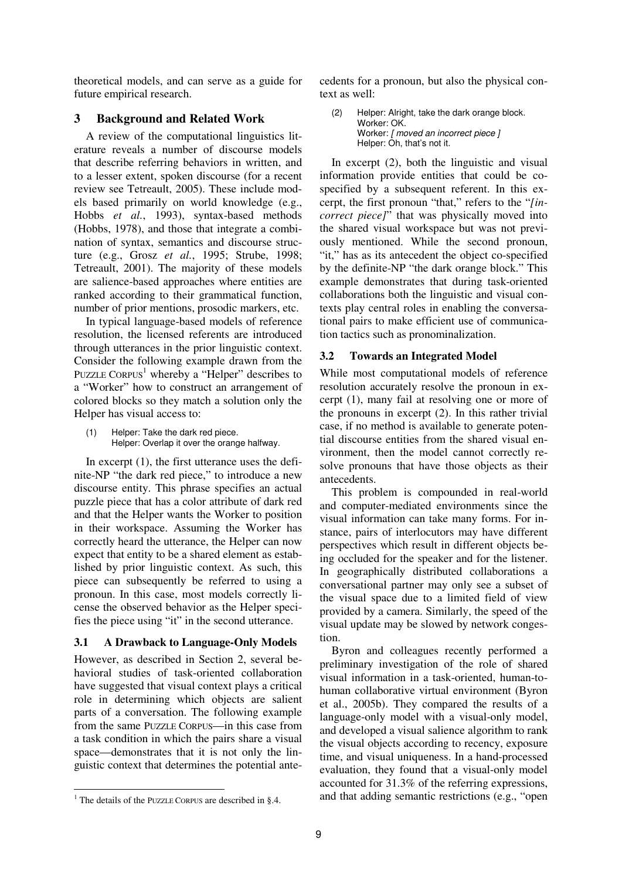theoretical models, and can serve as a guide for future empirical research.

# **3 Background and Related Work**

A review of the computational linguistics literature reveals a number of discourse models that describe referring behaviors in written, and to a lesser extent, spoken discourse (for a recent review see Tetreault, 2005). These include models based primarily on world knowledge (e.g., Hobbs *et al.*, 1993), syntax-based methods (Hobbs, 1978), and those that integrate a combination of syntax, semantics and discourse structure (e.g., Grosz *et al.*, 1995; Strube, 1998; Tetreault, 2001). The majority of these models are salience-based approaches where entities are ranked according to their grammatical function, number of prior mentions, prosodic markers, etc.

In typical language-based models of reference resolution, the licensed referents are introduced through utterances in the prior linguistic context. Consider the following example drawn from the PUZZLE CORPUS<sup>1</sup> whereby a "Helper" describes to a "Worker" how to construct an arrangement of colored blocks so they match a solution only the Helper has visual access to:

(1) Helper: Take the dark red piece. Helper: Overlap it over the orange halfway.

In excerpt (1), the first utterance uses the definite-NP "the dark red piece," to introduce a new discourse entity. This phrase specifies an actual puzzle piece that has a color attribute of dark red and that the Helper wants the Worker to position in their workspace. Assuming the Worker has correctly heard the utterance, the Helper can now expect that entity to be a shared element as established by prior linguistic context. As such, this piece can subsequently be referred to using a pronoun. In this case, most models correctly license the observed behavior as the Helper specifies the piece using "it" in the second utterance.

# **3.1 A Drawback to Language-Only Models**

However, as described in Section 2, several behavioral studies of task-oriented collaboration have suggested that visual context plays a critical role in determining which objects are salient parts of a conversation. The following example from the same PUZZLE CORPUS—in this case from a task condition in which the pairs share a visual space—demonstrates that it is not only the linguistic context that determines the potential antecedents for a pronoun, but also the physical context as well:

(2) Helper: Alright, take the dark orange block. Worker: OK. Worker: [ moved an incorrect piece ] Helper: Oh, that's not it.

In excerpt (2), both the linguistic and visual information provide entities that could be cospecified by a subsequent referent. In this excerpt, the first pronoun "that," refers to the "*[incorrect piece]*" that was physically moved into the shared visual workspace but was not previously mentioned. While the second pronoun, "it," has as its antecedent the object co-specified by the definite-NP "the dark orange block." This example demonstrates that during task-oriented collaborations both the linguistic and visual contexts play central roles in enabling the conversational pairs to make efficient use of communication tactics such as pronominalization.

# **3.2 Towards an Integrated Model**

While most computational models of reference resolution accurately resolve the pronoun in excerpt (1), many fail at resolving one or more of the pronouns in excerpt (2). In this rather trivial case, if no method is available to generate potential discourse entities from the shared visual environment, then the model cannot correctly resolve pronouns that have those objects as their antecedents.

This problem is compounded in real-world and computer-mediated environments since the visual information can take many forms. For instance, pairs of interlocutors may have different perspectives which result in different objects being occluded for the speaker and for the listener. In geographically distributed collaborations a conversational partner may only see a subset of the visual space due to a limited field of view provided by a camera. Similarly, the speed of the visual update may be slowed by network congestion.

Byron and colleagues recently performed a preliminary investigation of the role of shared visual information in a task-oriented, human-tohuman collaborative virtual environment (Byron et al., 2005b). They compared the results of a language-only model with a visual-only model, and developed a visual salience algorithm to rank the visual objects according to recency, exposure time, and visual uniqueness. In a hand-processed evaluation, they found that a visual-only model accounted for 31.3% of the referring expressions, and that adding semantic restrictions (e.g., "open

 <sup>1</sup> The details of the PUZZLE CORPUS are described in §.4.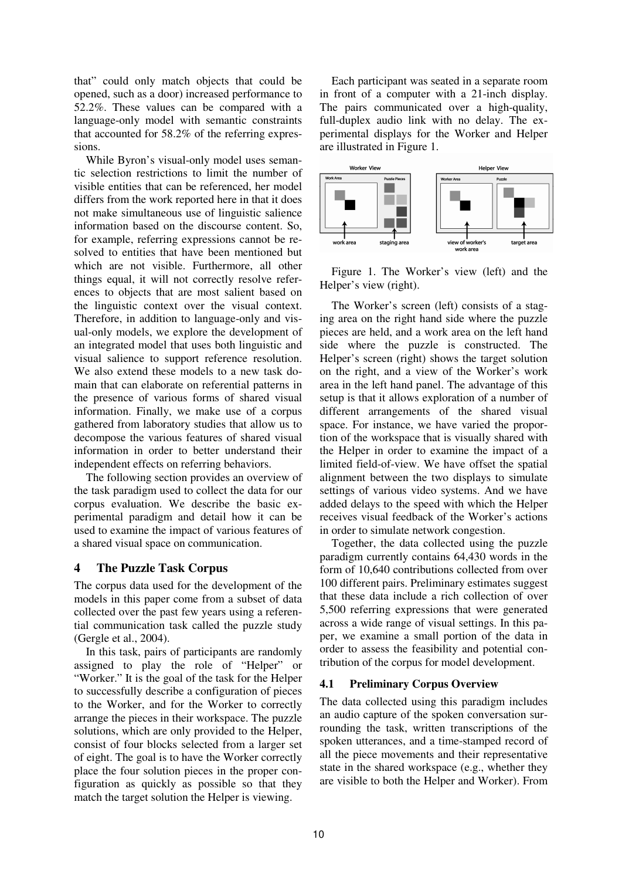that" could only match objects that could be opened, such as a door) increased performance to 52.2%. These values can be compared with a language-only model with semantic constraints that accounted for 58.2% of the referring expressions.

While Byron's visual-only model uses semantic selection restrictions to limit the number of visible entities that can be referenced, her model differs from the work reported here in that it does not make simultaneous use of linguistic salience information based on the discourse content. So, for example, referring expressions cannot be resolved to entities that have been mentioned but which are not visible. Furthermore, all other things equal, it will not correctly resolve references to objects that are most salient based on the linguistic context over the visual context. Therefore, in addition to language-only and visual-only models, we explore the development of an integrated model that uses both linguistic and visual salience to support reference resolution. We also extend these models to a new task domain that can elaborate on referential patterns in the presence of various forms of shared visual information. Finally, we make use of a corpus gathered from laboratory studies that allow us to decompose the various features of shared visual information in order to better understand their independent effects on referring behaviors.

The following section provides an overview of the task paradigm used to collect the data for our corpus evaluation. We describe the basic experimental paradigm and detail how it can be used to examine the impact of various features of a shared visual space on communication.

### **4 The Puzzle Task Corpus**

The corpus data used for the development of the models in this paper come from a subset of data collected over the past few years using a referential communication task called the puzzle study (Gergle et al., 2004).

In this task, pairs of participants are randomly assigned to play the role of "Helper" or "Worker." It is the goal of the task for the Helper to successfully describe a configuration of pieces to the Worker, and for the Worker to correctly arrange the pieces in their workspace. The puzzle solutions, which are only provided to the Helper, consist of four blocks selected from a larger set of eight. The goal is to have the Worker correctly place the four solution pieces in the proper configuration as quickly as possible so that they match the target solution the Helper is viewing.

Each participant was seated in a separate room in front of a computer with a 21-inch display. The pairs communicated over a high-quality, full-duplex audio link with no delay. The experimental displays for the Worker and Helper are illustrated in Figure 1.



Figure 1. The Worker's view (left) and the Helper's view (right).

The Worker's screen (left) consists of a staging area on the right hand side where the puzzle pieces are held, and a work area on the left hand side where the puzzle is constructed. The Helper's screen (right) shows the target solution on the right, and a view of the Worker's work area in the left hand panel. The advantage of this setup is that it allows exploration of a number of different arrangements of the shared visual space. For instance, we have varied the proportion of the workspace that is visually shared with the Helper in order to examine the impact of a limited field-of-view. We have offset the spatial alignment between the two displays to simulate settings of various video systems. And we have added delays to the speed with which the Helper receives visual feedback of the Worker's actions in order to simulate network congestion.

Together, the data collected using the puzzle paradigm currently contains 64,430 words in the form of 10,640 contributions collected from over 100 different pairs. Preliminary estimates suggest that these data include a rich collection of over 5,500 referring expressions that were generated across a wide range of visual settings. In this paper, we examine a small portion of the data in order to assess the feasibility and potential contribution of the corpus for model development.

### **4.1 Preliminary Corpus Overview**

The data collected using this paradigm includes an audio capture of the spoken conversation surrounding the task, written transcriptions of the spoken utterances, and a time-stamped record of all the piece movements and their representative state in the shared workspace (e.g., whether they are visible to both the Helper and Worker). From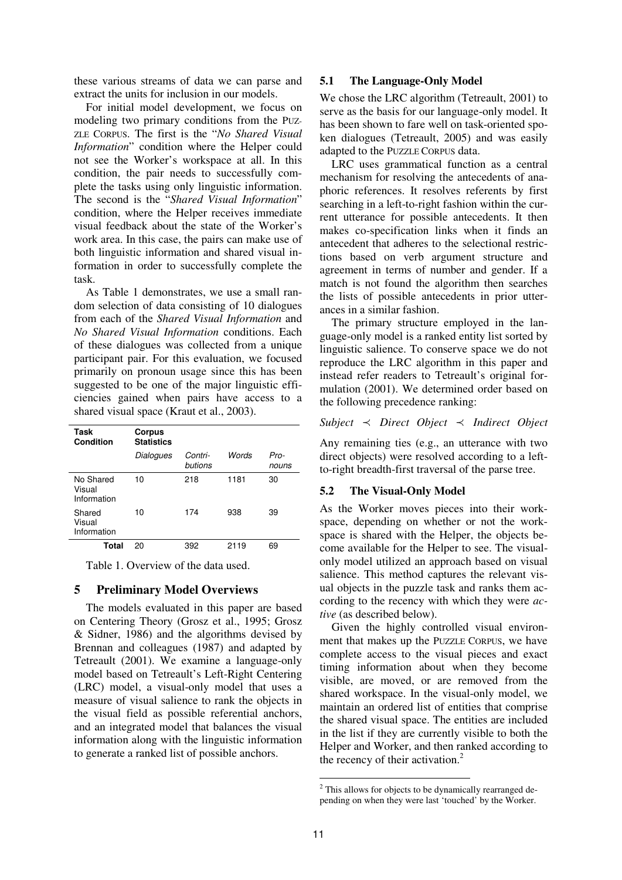these various streams of data we can parse and extract the units for inclusion in our models.

For initial model development, we focus on modeling two primary conditions from the PUZ-ZLE CORPUS. The first is the "*No Shared Visual Information*" condition where the Helper could not see the Worker's workspace at all. In this condition, the pair needs to successfully complete the tasks using only linguistic information. The second is the "*Shared Visual Information*" condition, where the Helper receives immediate visual feedback about the state of the Worker's work area. In this case, the pairs can make use of both linguistic information and shared visual information in order to successfully complete the task.

As Table 1 demonstrates, we use a small random selection of data consisting of 10 dialogues from each of the *Shared Visual Information* and *No Shared Visual Information* conditions. Each of these dialogues was collected from a unique participant pair. For this evaluation, we focused primarily on pronoun usage since this has been suggested to be one of the major linguistic efficiencies gained when pairs have access to a shared visual space (Kraut et al., 2003).

| Task<br><b>Condition</b>           | Corpus<br><b>Statistics</b> |                    |       |               |
|------------------------------------|-----------------------------|--------------------|-------|---------------|
|                                    | Dialogues                   | Contri-<br>butions | Words | Pro-<br>nouns |
| No Shared<br>Visual<br>Information | 10                          | 218                | 1181  | 30            |
| Shared<br>Visual<br>Information    | 10                          | 174                | 938   | 39            |
| Total                              | 20                          | 392                | 2119  | 69            |

Table 1. Overview of the data used.

### **5 Preliminary Model Overviews**

The models evaluated in this paper are based on Centering Theory (Grosz et al., 1995; Grosz & Sidner, 1986) and the algorithms devised by Brennan and colleagues (1987) and adapted by Tetreault (2001). We examine a language-only model based on Tetreault's Left-Right Centering (LRC) model, a visual-only model that uses a measure of visual salience to rank the objects in the visual field as possible referential anchors, and an integrated model that balances the visual information along with the linguistic information to generate a ranked list of possible anchors.

#### **5.1 The Language-Only Model**

We chose the LRC algorithm (Tetreault, 2001) to serve as the basis for our language-only model. It has been shown to fare well on task-oriented spoken dialogues (Tetreault, 2005) and was easily adapted to the PUZZLE CORPUS data.

LRC uses grammatical function as a central mechanism for resolving the antecedents of anaphoric references. It resolves referents by first searching in a left-to-right fashion within the current utterance for possible antecedents. It then makes co-specification links when it finds an antecedent that adheres to the selectional restrictions based on verb argument structure and agreement in terms of number and gender. If a match is not found the algorithm then searches the lists of possible antecedents in prior utterances in a similar fashion.

The primary structure employed in the language-only model is a ranked entity list sorted by linguistic salience. To conserve space we do not reproduce the LRC algorithm in this paper and instead refer readers to Tetreault's original formulation (2001). We determined order based on the following precedence ranking:

#### *Subject Direct Object Indirect Object*

Any remaining ties (e.g., an utterance with two direct objects) were resolved according to a leftto-right breadth-first traversal of the parse tree.

#### **5.2 The Visual-Only Model**

As the Worker moves pieces into their workspace, depending on whether or not the workspace is shared with the Helper, the objects become available for the Helper to see. The visualonly model utilized an approach based on visual salience. This method captures the relevant visual objects in the puzzle task and ranks them according to the recency with which they were *active* (as described below).

Given the highly controlled visual environment that makes up the PUZZLE CORPUS, we have complete access to the visual pieces and exact timing information about when they become visible, are moved, or are removed from the shared workspace. In the visual-only model, we maintain an ordered list of entities that comprise the shared visual space. The entities are included in the list if they are currently visible to both the Helper and Worker, and then ranked according to the recency of their activation.<sup>2</sup>

**This allows for objects to be dynamically rearranged de**pending on when they were last 'touched' by the Worker.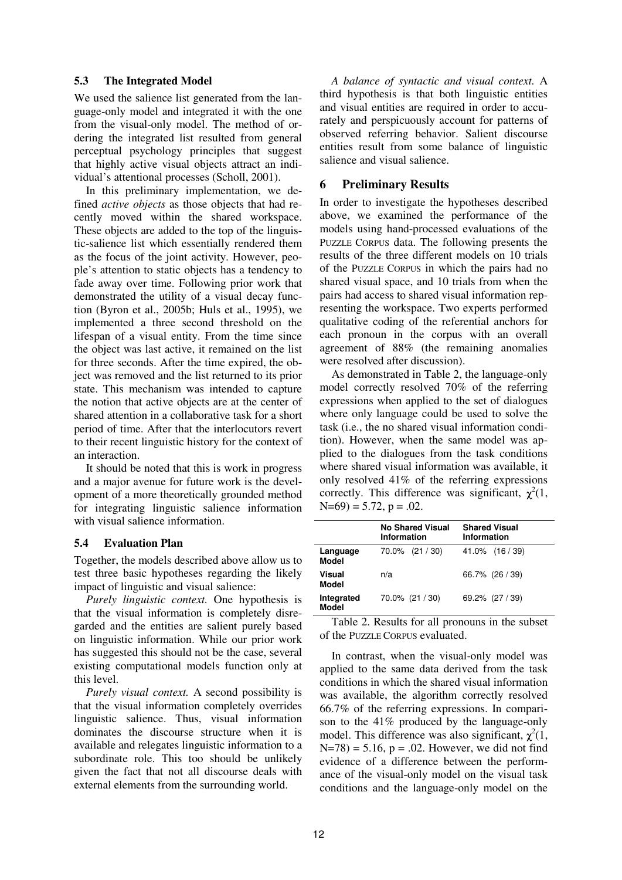#### **5.3 The Integrated Model**

We used the salience list generated from the language-only model and integrated it with the one from the visual-only model. The method of ordering the integrated list resulted from general perceptual psychology principles that suggest that highly active visual objects attract an individual's attentional processes (Scholl, 2001).

In this preliminary implementation, we defined *active objects* as those objects that had recently moved within the shared workspace. These objects are added to the top of the linguistic-salience list which essentially rendered them as the focus of the joint activity. However, people's attention to static objects has a tendency to fade away over time. Following prior work that demonstrated the utility of a visual decay function (Byron et al., 2005b; Huls et al., 1995), we implemented a three second threshold on the lifespan of a visual entity. From the time since the object was last active, it remained on the list for three seconds. After the time expired, the object was removed and the list returned to its prior state. This mechanism was intended to capture the notion that active objects are at the center of shared attention in a collaborative task for a short period of time. After that the interlocutors revert to their recent linguistic history for the context of an interaction.

It should be noted that this is work in progress and a major avenue for future work is the development of a more theoretically grounded method for integrating linguistic salience information with visual salience information.

#### **5.4 Evaluation Plan**

Together, the models described above allow us to test three basic hypotheses regarding the likely impact of linguistic and visual salience:

*Purely linguistic context.* One hypothesis is that the visual information is completely disregarded and the entities are salient purely based on linguistic information. While our prior work has suggested this should not be the case, several existing computational models function only at this level.

*Purely visual context.* A second possibility is that the visual information completely overrides linguistic salience. Thus, visual information dominates the discourse structure when it is available and relegates linguistic information to a subordinate role. This too should be unlikely given the fact that not all discourse deals with external elements from the surrounding world.

*A balance of syntactic and visual context.* A third hypothesis is that both linguistic entities and visual entities are required in order to accurately and perspicuously account for patterns of observed referring behavior. Salient discourse entities result from some balance of linguistic salience and visual salience.

# **6 Preliminary Results**

In order to investigate the hypotheses described above, we examined the performance of the models using hand-processed evaluations of the PUZZLE CORPUS data. The following presents the results of the three different models on 10 trials of the PUZZLE CORPUS in which the pairs had no shared visual space, and 10 trials from when the pairs had access to shared visual information representing the workspace. Two experts performed qualitative coding of the referential anchors for each pronoun in the corpus with an overall agreement of 88% (the remaining anomalies were resolved after discussion).

As demonstrated in Table 2, the language-only model correctly resolved 70% of the referring expressions when applied to the set of dialogues where only language could be used to solve the task (i.e., the no shared visual information condition). However, when the same model was applied to the dialogues from the task conditions where shared visual information was available, it only resolved 41% of the referring expressions correctly. This difference was significant,  $\chi^2(1)$ ,  $N=69$ ) = 5.72, p = .02.

|                            | <b>No Shared Visual</b><br><b>Information</b> | <b>Shared Visual</b><br><b>Information</b> |
|----------------------------|-----------------------------------------------|--------------------------------------------|
| Language<br>Model          | $70.0\%$ $(21/30)$                            | $41.0\%$ $(16/39)$                         |
| Visual<br>Model            | n/a                                           | 66.7% (26 / 39)                            |
| Integrated<br><b>Model</b> | 70.0% (21 / 30)                               | 69.2% (27 / 39)                            |

Table 2. Results for all pronouns in the subset of the PUZZLE CORPUS evaluated.

In contrast, when the visual-only model was applied to the same data derived from the task conditions in which the shared visual information was available, the algorithm correctly resolved 66.7% of the referring expressions. In comparison to the 41% produced by the language-only model. This difference was also significant,  $\chi^2(1)$ ,  $N=78$ ) = 5.16, p = .02. However, we did not find evidence of a difference between the performance of the visual-only model on the visual task conditions and the language-only model on the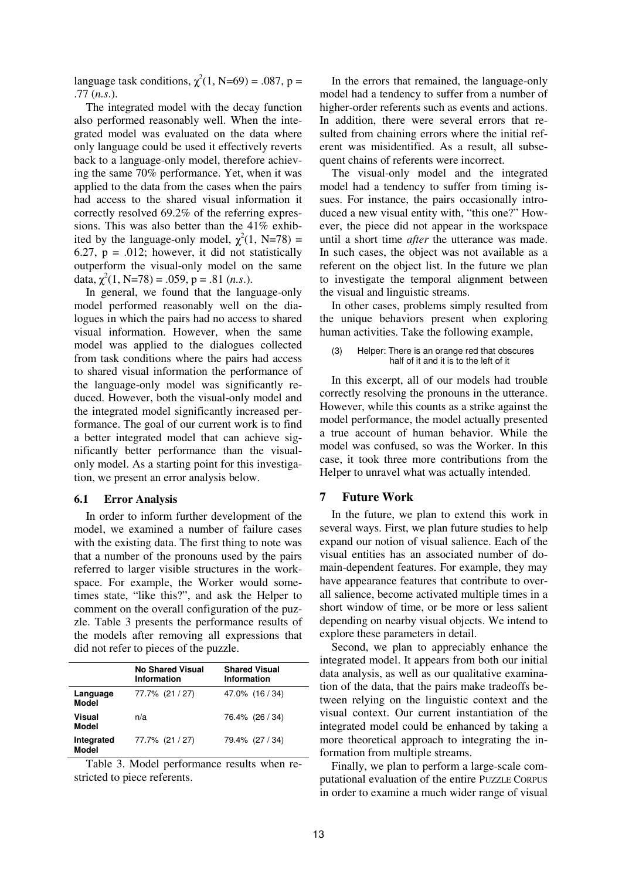language task conditions,  $\chi^2(1, N=69) = .087$ , p = .77 (*n.s*.).

The integrated model with the decay function also performed reasonably well. When the integrated model was evaluated on the data where only language could be used it effectively reverts back to a language-only model, therefore achieving the same 70% performance. Yet, when it was applied to the data from the cases when the pairs had access to the shared visual information it correctly resolved 69.2% of the referring expressions. This was also better than the 41% exhibited by the language-only model,  $\chi^2(1, N=78)$  = 6.27,  $p = .012$ ; however, it did not statistically outperform the visual-only model on the same data,  $\chi^2(1, N=78) = .059$ , p = .81 (*n.s.*).

In general, we found that the language-only model performed reasonably well on the dialogues in which the pairs had no access to shared visual information. However, when the same model was applied to the dialogues collected from task conditions where the pairs had access to shared visual information the performance of the language-only model was significantly reduced. However, both the visual-only model and the integrated model significantly increased performance. The goal of our current work is to find a better integrated model that can achieve significantly better performance than the visualonly model. As a starting point for this investigation, we present an error analysis below.

#### **6.1 Error Analysis**

In order to inform further development of the model, we examined a number of failure cases with the existing data. The first thing to note was that a number of the pronouns used by the pairs referred to larger visible structures in the workspace. For example, the Worker would sometimes state, "like this?", and ask the Helper to comment on the overall configuration of the puzzle. Table 3 presents the performance results of the models after removing all expressions that did not refer to pieces of the puzzle.

|                            | <b>No Shared Visual</b><br>Information | <b>Shared Visual</b><br>Information |
|----------------------------|----------------------------------------|-------------------------------------|
| Language<br>Model          | 77.7% (21 / 27)                        | 47.0% (16 / 34)                     |
| Visual<br>Model            | n/a                                    | 76.4% (26 / 34)                     |
| Integrated<br><b>Model</b> | 77.7% (21 / 27)                        | 79.4% (27 / 34)                     |

Table 3. Model performance results when restricted to piece referents.

In the errors that remained, the language-only model had a tendency to suffer from a number of higher-order referents such as events and actions. In addition, there were several errors that resulted from chaining errors where the initial referent was misidentified. As a result, all subsequent chains of referents were incorrect.

The visual-only model and the integrated model had a tendency to suffer from timing issues. For instance, the pairs occasionally introduced a new visual entity with, "this one?" However, the piece did not appear in the workspace until a short time *after* the utterance was made. In such cases, the object was not available as a referent on the object list. In the future we plan to investigate the temporal alignment between the visual and linguistic streams.

In other cases, problems simply resulted from the unique behaviors present when exploring human activities. Take the following example,

#### (3) Helper: There is an orange red that obscures half of it and it is to the left of it

In this excerpt, all of our models had trouble correctly resolving the pronouns in the utterance. However, while this counts as a strike against the model performance, the model actually presented a true account of human behavior. While the model was confused, so was the Worker. In this case, it took three more contributions from the Helper to unravel what was actually intended.

### **7 Future Work**

In the future, we plan to extend this work in several ways. First, we plan future studies to help expand our notion of visual salience. Each of the visual entities has an associated number of domain-dependent features. For example, they may have appearance features that contribute to overall salience, become activated multiple times in a short window of time, or be more or less salient depending on nearby visual objects. We intend to explore these parameters in detail.

Second, we plan to appreciably enhance the integrated model. It appears from both our initial data analysis, as well as our qualitative examination of the data, that the pairs make tradeoffs between relying on the linguistic context and the visual context. Our current instantiation of the integrated model could be enhanced by taking a more theoretical approach to integrating the information from multiple streams.

Finally, we plan to perform a large-scale computational evaluation of the entire PUZZLE CORPUS in order to examine a much wider range of visual